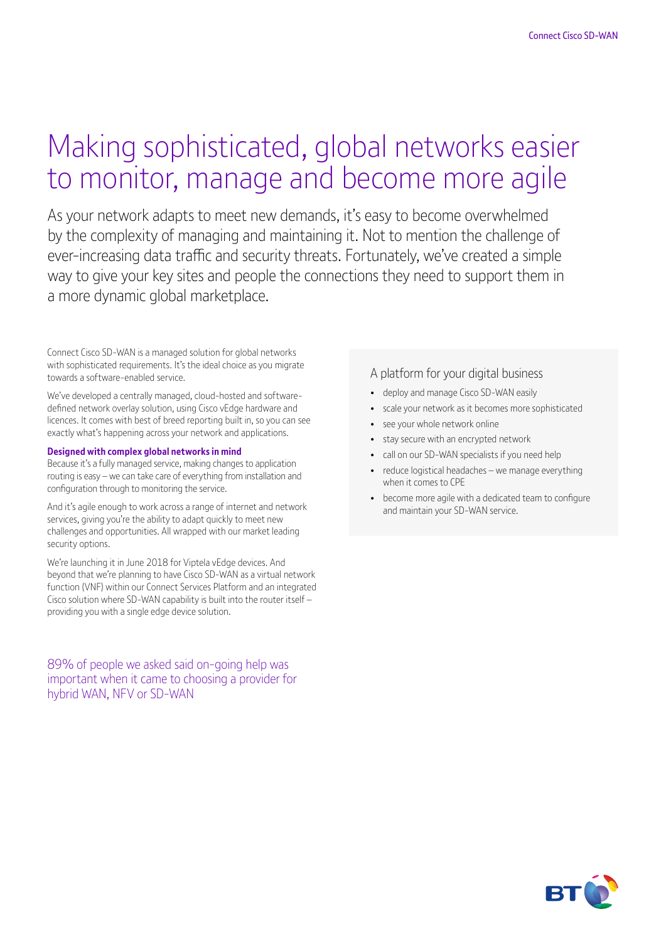# Making sophisticated, global networks easier to monitor, manage and become more agile

As your network adapts to meet new demands, it's easy to become overwhelmed by the complexity of managing and maintaining it. Not to mention the challenge of ever-increasing data traffic and security threats. Fortunately, we've created a simple way to give your key sites and people the connections they need to support them in a more dynamic global marketplace.

Connect Cisco SD-WAN is a managed solution for global networks with sophisticated requirements. It's the ideal choice as you migrate towards a software-enabled service.

We've developed a centrally managed, cloud-hosted and softwaredefined network overlay solution, using Cisco vEdge hardware and licences. It comes with best of breed reporting built in, so you can see exactly what's happening across your network and applications.

#### **Designed with complex global networks in mind**

Because it's a fully managed service, making changes to application routing is easy – we can take care of everything from installation and configuration through to monitoring the service.

And it's agile enough to work across a range of internet and network services, giving you're the ability to adapt quickly to meet new challenges and opportunities. All wrapped with our market leading security options.

We're launching it in June 2018 for Viptela vEdge devices. And beyond that we're planning to have Cisco SD-WAN as a virtual network function (VNF) within our Connect Services Platform and an integrated Cisco solution where SD-WAN capability is built into the router itself – providing you with a single edge device solution.

89% of people we asked said on-going help was important when it came to choosing a provider for hybrid WAN, NFV or SD-WAN

### A platform for your digital business

- deploy and manage Cisco SD-WAN easily
- scale your network as it becomes more sophisticated
- see your whole network online
- stay secure with an encrypted network
- call on our SD-WAN specialists if you need help
- reduce logistical headaches we manage everything when it comes to CPE
- become more agile with a dedicated team to configure and maintain your SD-WAN service.